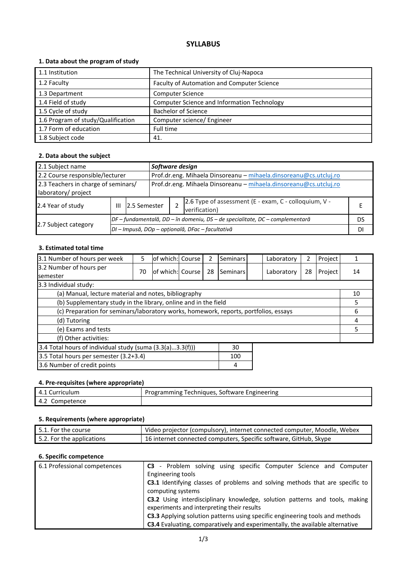# **SYLLABUS**

## **1. Data about the program of study**

| 1.1 Institution                    | The Technical University of Cluj-Napoca     |
|------------------------------------|---------------------------------------------|
| 1.2 Faculty                        | Faculty of Automation and Computer Science  |
| 1.3 Department                     | <b>Computer Science</b>                     |
| 1.4 Field of study                 | Computer Science and Information Technology |
| 1.5 Cycle of study                 | <b>Bachelor of Science</b>                  |
| 1.6 Program of study/Qualification | Computer science/ Engineer                  |
| 1.7 Form of education              | Full time                                   |
| 1.8 Subject code                   | 41.                                         |

## **2. Data about the subject**

| 2.1 Subject name<br>Software design                                                                  |   |                                                  |                                                                              |  |                                                                        |    |
|------------------------------------------------------------------------------------------------------|---|--------------------------------------------------|------------------------------------------------------------------------------|--|------------------------------------------------------------------------|----|
| 2.2 Course responsible/lecturer<br>Prof.dr.eng. Mihaela Dinsoreanu - mihaela.dinsoreanu@cs.utcluj.ro |   |                                                  |                                                                              |  |                                                                        |    |
| 2.3 Teachers in charge of seminars/<br>laboratory/ project                                           |   |                                                  | Prof.dr.eng. Mihaela Dinsoreanu - mihaela.dinsoreanu@cs.utcluj.ro            |  |                                                                        |    |
| 2.4 Year of study                                                                                    | Ш |                                                  | 12.5 Semester                                                                |  | 2.6 Type of assessment (E - exam, C - colloquium, V -<br>verification) |    |
|                                                                                                      |   |                                                  | DF – fundamentală, DD – în domeniu, DS – de specialitate, DC – complementară |  |                                                                        | DS |
| 2.7 Subject category                                                                                 |   | DI - Impusă, DOp - opțională, DFac - facultativă |                                                                              |  |                                                                        |    |

#### **3. Estimated total time**

| 3.1 Number of hours per week                                                         | 5  | of which: Course |  | 2  | <b>Seminars</b> |  | Laboratory | 2  | Project |    |
|--------------------------------------------------------------------------------------|----|------------------|--|----|-----------------|--|------------|----|---------|----|
| 3.2 Number of hours per<br><b>semester</b>                                           | 70 | of which: Course |  | 28 | Seminars        |  | Laboratory | 28 | Project | 14 |
| 3.3 Individual study:                                                                |    |                  |  |    |                 |  |            |    |         |    |
| (a) Manual, lecture material and notes, bibliography                                 |    |                  |  |    |                 |  |            | 10 |         |    |
| (b) Supplementary study in the library, online and in the field                      |    |                  |  |    |                 |  | 5          |    |         |    |
| (c) Preparation for seminars/laboratory works, homework, reports, portfolios, essays |    |                  |  |    |                 |  | 6          |    |         |    |
| (d) Tutoring                                                                         |    |                  |  |    |                 |  |            | 4  |         |    |
| (e) Exams and tests                                                                  |    |                  |  |    |                 |  |            | 5  |         |    |
| (f) Other activities:                                                                |    |                  |  |    |                 |  |            |    |         |    |
| 3.4 Total hours of individual study (suma (3.3(a)3.3(f)))<br>30                      |    |                  |  |    |                 |  |            |    |         |    |
| 3.5 Total hours per semester (3.2+3.4)                                               |    |                  |  |    | 100             |  |            |    |         |    |
| 3.6 Number of credit points<br>4                                                     |    |                  |  |    |                 |  |            |    |         |    |

## **4. Pre-requisites (where appropriate)**

| : Curriculum<br>4.1 | Programming Techniques, Software Engineering |
|---------------------|----------------------------------------------|
| 4.2<br>Competence   |                                              |

## **5. Requirements (where appropriate)**

| $\,$ 5.1. For the course $\,$ | Video projector (compulsory), internet connected computer, Moodle, Webex |
|-------------------------------|--------------------------------------------------------------------------|
| 5.2. For the applications     | 16 internet connected computers, Specific software, GitHub, Skype        |

# **6. Specific competence**

| 6.1 Professional competences | C3 - Problem solving using specific Computer Science and Computer                    |  |  |  |  |  |  |
|------------------------------|--------------------------------------------------------------------------------------|--|--|--|--|--|--|
|                              | Engineering tools                                                                    |  |  |  |  |  |  |
|                              | <b>C3.1</b> Identifying classes of problems and solving methods that are specific to |  |  |  |  |  |  |
|                              | computing systems                                                                    |  |  |  |  |  |  |
|                              | C3.2 Using interdisciplinary knowledge, solution patterns and tools, making          |  |  |  |  |  |  |
|                              | experiments and interpreting their results                                           |  |  |  |  |  |  |
|                              | C3.3 Applying solution patterns using specific engineering tools and methods         |  |  |  |  |  |  |
|                              | <b>C3.4</b> Evaluating, comparatively and experimentally, the available alternative  |  |  |  |  |  |  |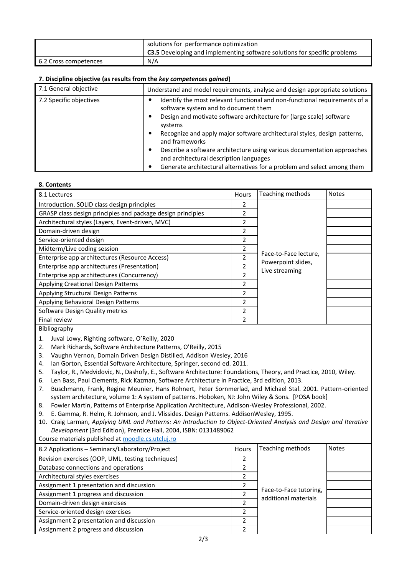|                       | solutions for performance optimization<br><b>C3.5</b> Developing and implementing software solutions for specific problems |
|-----------------------|----------------------------------------------------------------------------------------------------------------------------|
| 6.2 Cross competences | N/A                                                                                                                        |

#### **7. Discipline objective (as results from the** *key competences gained***)**

| 7.1 General objective   | Understand and model requirements, analyse and design appropriate solutions                                             |
|-------------------------|-------------------------------------------------------------------------------------------------------------------------|
| 7.2 Specific objectives | Identify the most relevant functional and non-functional requirements of a<br>software system and to document them      |
|                         | Design and motivate software architecture for (large scale) software<br>systems                                         |
|                         | Recognize and apply major software architectural styles, design patterns,<br>and frameworks                             |
|                         | Describe a software architecture using various documentation approaches<br>٠<br>and architectural description languages |
|                         | Generate architectural alternatives for a problem and select among them                                                 |

#### **8. Contents**

| 8.1 Lectures                                                | Hours | Teaching methods                     | <b>Notes</b> |
|-------------------------------------------------------------|-------|--------------------------------------|--------------|
| Introduction. SOLID class design principles                 | 2     |                                      |              |
| GRASP class design principles and package design principles | 2     |                                      |              |
| Architectural styles (Layers, Event-driven, MVC)            | 2     |                                      |              |
| Domain-driven design                                        | 2     |                                      |              |
| Service-oriented design                                     | 2     |                                      |              |
| Midterm/Live coding session                                 | 2     |                                      |              |
| Enterprise app architectures (Resource Access)              | 2     | Face-to-Face lecture,                |              |
| Enterprise app architectures (Presentation)                 | 2     | Powerpoint slides,<br>Live streaming |              |
| Enterprise app architectures (Concurrency)                  | 2     |                                      |              |
| Applying Creational Design Patterns                         | 2     |                                      |              |
| Applying Structural Design Patterns                         | 2     |                                      |              |
| Applying Behavioral Design Patterns                         | 2     |                                      |              |
| Software Design Quality metrics                             | 2     |                                      |              |
| Final review                                                | 2     |                                      |              |
| ---                                                         |       |                                      |              |

Bibliography

- 1. Juval Lowy, Righting software, O'Reilly, 2020
- 2. Mark Richards, Software Architecture Patterns, O'Reilly, 2015
- 3. Vaughn Vernon, Domain Driven Design Distilled, Addison Wesley, 2016
- 4. Ian Gorton, Essential Software Architecture, Springer, second ed. 2011.
- 5. Taylor, R., Medvidovic, N., Dashofy, E., Software Architecture: Foundations, Theory, and Practice, 2010, Wiley.
- 6. Len Bass, Paul Clements, Rick Kazman, Software Architecture in Practice, 3rd edition, 2013.
- 7. Buschmann, Frank, Regine Meunier, Hans Rohnert, Peter Sornmerlad, and Michael Stal. 2001. Pattern-oriented system architecture, volume 1: A system of patterns. Hoboken, NJ: John Wiley & Sons. [POSA book]
- 8. Fowler Martin, Patterns of Enterprise Application Architecture, Addison-Wesley Professional, 2002.
- 9. E. Gamma, R. Helm, R. Johnson, and J. Vlissides. Design Patterns. AddisonWesley, 1995.
- 10. Craig Larman, *Applying UML and Patterns: An Introduction to Object-Oriented Analysis and Design and Iterative Development* (3rd Edition), Prentice Hall, 2004, ISBN: 0131489062

Course materials published at moodle.cs.utcluj.ro

| 8.2 Applications - Seminars/Laboratory/Project    | Hours | Teaching methods                               | <b>Notes</b> |
|---------------------------------------------------|-------|------------------------------------------------|--------------|
| Revision exercises (OOP, UML, testing techniques) |       |                                                |              |
| Database connections and operations               |       |                                                |              |
| Architectural styles exercises                    |       |                                                |              |
| Assignment 1 presentation and discussion          |       |                                                |              |
| Assignment 1 progress and discussion              |       | Face-to-Face tutoring,<br>additional materials |              |
| Domain-driven design exercises                    |       |                                                |              |
| Service-oriented design exercises                 |       |                                                |              |
| Assignment 2 presentation and discussion          |       |                                                |              |
| Assignment 2 progress and discussion              |       |                                                |              |